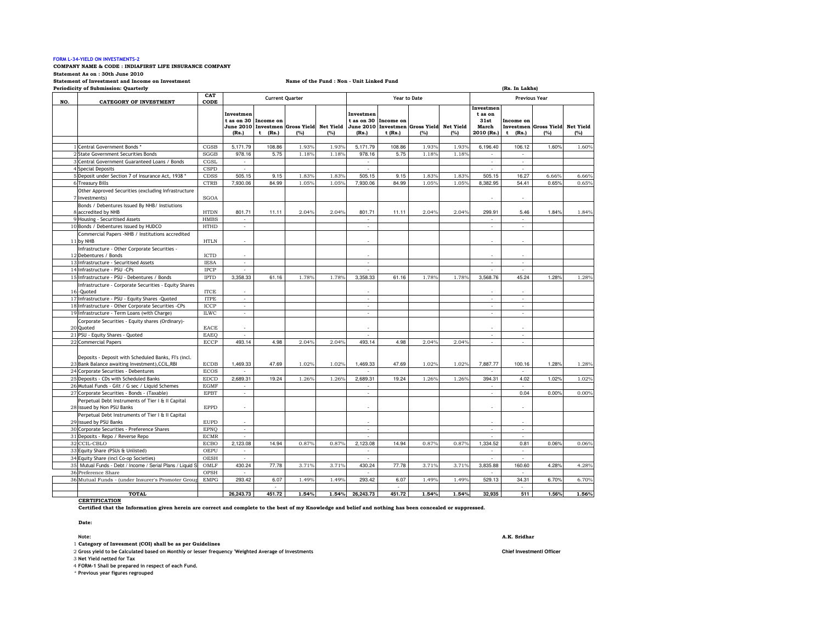# FORM L-34-YIELD ON INVESTMENTS-2

### COMPANY NAME & CODE : INDIAFIRST LIFE INSURANCE COMPANY

Statement As on : 30th June 2010

Statement of Investment and Income on Investment

# Name of the Fund : Non - Unit Linked Fund

| Periodicity of Submission: Quarterly<br>(Rs. In Lakhs) |                                                                                                         |                            |                          |                                    |                                                  |       |                                  |                        |                                                  |       |                                                     |                                   |                                        |       |
|--------------------------------------------------------|---------------------------------------------------------------------------------------------------------|----------------------------|--------------------------|------------------------------------|--------------------------------------------------|-------|----------------------------------|------------------------|--------------------------------------------------|-------|-----------------------------------------------------|-----------------------------------|----------------------------------------|-------|
| NO.                                                    | <b>CATEGORY OF INVESTMENT</b>                                                                           | CAT<br>CODE                | <b>Current Quarter</b>   |                                    |                                                  |       |                                  |                        | <b>Year to Date</b>                              |       | <b>Previous Year</b>                                |                                   |                                        |       |
|                                                        |                                                                                                         |                            | Investmen<br>(Rs.)       | t as on 30 Income on<br>t<br>(Rs.) | June 2010 Investmen Gross Yield Net Yield<br>(%) | (%)   | Investmen<br>t as on 30<br>(Rs.) | Income on<br>$t$ (Rs.) | June 2010 Investmen Gross Yield Net Yield<br>(%) | (%)   | Investmen<br>t as on<br>31st<br>March<br>2010 (Rs.) | Income on<br>(Rs.)<br>$\mathbf t$ | Investmen Gross Yield Net Yield<br>(%) | (%)   |
|                                                        | 1 Central Government Bonds *                                                                            | CGSB                       | 5.171.79                 | 108.86                             | 1.93%                                            | 1.93% | 5.171.79                         | 108.86                 | 1.93%                                            | 1.93% | 6.196.40                                            | 106.12                            | 1.60%                                  | 1.60% |
|                                                        | 2 State Government Securities Bonds                                                                     | SGGB                       | 978.16                   | 5.75                               | 1.18%                                            | 1.18% | 978.16                           | 5.75                   | 1.18%                                            | 1.18% | ä,                                                  | ÷.                                |                                        |       |
|                                                        | 3 Central Government Guaranteed Loans / Bonds                                                           | CGSL                       | $\mathcal{L}$            |                                    |                                                  |       | $\mathcal{L}$                    |                        |                                                  |       | $\sim$                                              | ÷.                                |                                        |       |
|                                                        | 4 Special Deposits                                                                                      | <b>CSPD</b>                | $\sim$                   |                                    |                                                  |       | $\sim$                           |                        |                                                  |       | $\mathbf{r}$                                        | $\sim$                            |                                        |       |
|                                                        | 5 Deposit under Section 7 of Insurance Act, 1938 *                                                      | CDSS                       | 505.15                   | 9.15                               | 1.83%                                            | 1.83% | 505.15                           | 9.15                   | 1.83%                                            | 1.83% | 505.15                                              | 16.27                             | 6.66%                                  | 6.66% |
|                                                        | 6 Treasury Bills                                                                                        | <b>CTRB</b>                | 7,930.06                 | 84.99                              | 1.05%                                            | 1.05% | 7,930.06                         | 84.99                  | 1.05%                                            | 1.05% | 8,382.95                                            | 54.41                             | 0.65%                                  | 0.65% |
|                                                        | Other Approved Securities (excluding Infrastructure<br>7 Investments)                                   | <b>SGOA</b>                |                          |                                    |                                                  |       |                                  |                        |                                                  |       |                                                     |                                   |                                        |       |
|                                                        | Bonds / Debentures Issued By NHB/ Instiutions                                                           |                            |                          |                                    |                                                  |       |                                  |                        |                                                  |       |                                                     |                                   |                                        |       |
|                                                        | 8 accredited by NHB                                                                                     | <b>HTDN</b>                | 801.71                   | 11.11                              | 2.04%                                            | 2.04% | 801.71                           | 11.11                  | 2.04%                                            | 2.04% | 299.91                                              | 5.46                              | 1.84%                                  | 1.84% |
|                                                        | 9 Housing - Securitised Assets                                                                          | <b>HMBS</b>                | $\sim$                   |                                    |                                                  |       | ÷.                               |                        |                                                  |       | ÷.                                                  | ÷.                                |                                        |       |
|                                                        | 10 Bonds / Debentures issued by HUDCO                                                                   | <b>HTHD</b>                | ä,                       |                                    |                                                  |       | ä,                               |                        |                                                  |       | $\overline{a}$                                      | ä,                                |                                        |       |
|                                                        | Commercial Papers -NHB / Institutions accredited<br>11 by NHB                                           | <b>HTLN</b>                | ÷,                       |                                    |                                                  |       |                                  |                        |                                                  |       |                                                     |                                   |                                        |       |
|                                                        | Infrastructure - Other Corporate Securities -<br>12 Debentures / Bonds                                  | <b>ICTD</b>                | $\sim$                   |                                    |                                                  |       | ×.                               |                        |                                                  |       | ٠                                                   | ÷                                 |                                        |       |
|                                                        | 13 Infrastructure - Securitised Assets                                                                  | <b>IESA</b>                |                          |                                    |                                                  |       |                                  |                        |                                                  |       |                                                     | ÷.                                |                                        |       |
|                                                        | 14 Infrastructure - PSU -CPs                                                                            | <b>IPCP</b>                | $\sim$                   |                                    |                                                  |       | ×                                |                        |                                                  |       | $\sim$                                              | $\sim$                            |                                        |       |
|                                                        | 15 Infrastructure - PSU - Debentures / Bonds                                                            | <b>IPTD</b>                | 3,358.33                 | 61.16                              | 1.78%                                            | 1.78% | 3,358.33                         | 61.16                  | 1.78%                                            | 1.78% | 3,568.76                                            | 45.24                             | 1.28%                                  | 1.28% |
|                                                        | Infrastructure - Corporate Securities - Equity Shares<br>16-Quoted                                      | <b>ITCE</b>                | $\sim$                   |                                    |                                                  |       | ä,                               |                        |                                                  |       |                                                     | ä,                                |                                        |       |
|                                                        | 17 Infrastructure - PSU - Equity Shares -Quoted                                                         | <b>ITPE</b>                | $\overline{\phantom{a}}$ |                                    |                                                  |       | ÷.                               |                        |                                                  |       | $\overline{\phantom{a}}$                            | ÷.                                |                                        |       |
|                                                        | 18 Infrastructure - Other Corporate Securities -CPs                                                     | ICCP                       | $\sim$                   |                                    |                                                  |       | $\sim$                           |                        |                                                  |       | $\overline{a}$                                      | ÷.                                |                                        |       |
|                                                        | 19 Infrastructure - Term Loans (with Charge)                                                            | <b>ILWC</b>                | $\sim$                   |                                    |                                                  |       | $\sim$                           |                        |                                                  |       | ٠                                                   | $\sim$                            |                                        |       |
|                                                        | Corporate Securities - Equity shares (Ordinary)-<br>20 Quoted                                           | EACE                       | ÷.                       |                                    |                                                  |       |                                  |                        |                                                  |       |                                                     |                                   |                                        |       |
|                                                        | 21 PSU - Equity Shares - Quoted                                                                         | EAEO                       |                          |                                    |                                                  |       |                                  |                        |                                                  |       | ÷,                                                  | ä,                                |                                        |       |
|                                                        | 22 Commercial Papers                                                                                    | ECCP                       | 493.14                   | 4.98                               | 2.04%                                            | 2.04% | 493.14                           | 4.98                   | 2.04%                                            | 2.04% | $\overline{a}$                                      | ÷.                                |                                        |       |
|                                                        | Deposits - Deposit with Scheduled Banks, FI's (incl.<br>23 Bank Balance awaiting Investment), CCIL, RBI | <b>ECDB</b>                | 1,469.33                 | 47.69                              | 1.02%                                            | 1.02% | 1,469.33                         | 47.69                  | 1.02%                                            | 1.02% | 7,887.77                                            | 100.16                            | 1.28%                                  | 1.28% |
|                                                        | 24 Corporate Securities - Debentures<br>25 Deposits - CDs with Scheduled Banks                          | <b>ECOS</b><br><b>EDCD</b> | ä,<br>2,689.31           | 19.24                              | 1.26%                                            | 1.26% | ä,<br>2,689.31                   | 19.24                  | 1.26%                                            | 1.26% | ÷.<br>394.31                                        | ÷.<br>4.02                        | 1.02%                                  | 1.02% |
|                                                        | 26 Mutual Funds - Gilt / G sec / Liquid Schemes                                                         | <b>EGMF</b>                | $\sim$                   |                                    |                                                  |       | $\mathbf{r}$                     |                        |                                                  |       |                                                     | $\sim$                            |                                        |       |
|                                                        | 27 Corporate Securities - Bonds - (Taxable)                                                             | <b>EPBT</b>                | $\mathcal{L}$            |                                    |                                                  |       | $\sim$                           |                        |                                                  |       | $\sim$                                              | 0.04                              | 0.00%                                  | 0.00% |
|                                                        | Perpetual Debt Instruments of Tier I & II Capital<br>28 issued by Non PSU Banks                         | <b>EPPD</b>                | ä,                       |                                    |                                                  |       |                                  |                        |                                                  |       |                                                     |                                   |                                        |       |
|                                                        | Perpetual Debt Instruments of Tier I & II Capital<br>29 issued by PSU Banks                             | <b>EUPD</b>                |                          |                                    |                                                  |       |                                  |                        |                                                  |       |                                                     |                                   |                                        |       |
|                                                        | 30 Corporate Securities - Preference Shares                                                             | <b>EPNO</b>                | $\sim$                   |                                    |                                                  |       | $\sim$                           |                        |                                                  |       | $\overline{\phantom{a}}$                            | $\sim$                            |                                        |       |
|                                                        | 31 Deposits - Repo / Reverse Repo                                                                       | <b>ECMR</b>                |                          |                                    |                                                  |       |                                  |                        |                                                  |       |                                                     | ä,                                |                                        |       |
|                                                        | 32 CCIL-CBLO                                                                                            | <b>ECBO</b>                | 2,123.08                 | 14.94                              | 0.87%                                            | 0.87% | 2,123.08                         | 14.94                  | 0.87%                                            | 0.87% | 1,334.52                                            | 0.81                              | 0.06%                                  | 0.06% |
|                                                        | 33 Equity Share (PSUs & Unlisted)                                                                       | OEPU                       | $\sim$                   |                                    |                                                  |       | $\sim$                           |                        |                                                  |       | $\sim$                                              | $\sim$                            |                                        |       |
|                                                        | 34 Equity Share (incl Co-op Societies)                                                                  | OESH                       | $\overline{a}$           |                                    |                                                  |       | $\mathbf{r}$                     |                        |                                                  |       | $\overline{a}$                                      | ÷.                                |                                        |       |
|                                                        | 35 Mutual Funds - Debt / Income / Serial Plans / Liquid S                                               | OMLF                       | 430.24                   | 77.78                              | 3.71%                                            | 3.71% | 430.24                           | 77.78                  | 3.71%                                            | 3.71% | 3,835.88                                            | 160.60                            | 4.28%                                  | 4.28% |
|                                                        | 36 Preference Share                                                                                     | OPSH                       |                          |                                    |                                                  |       | $\sim$                           |                        |                                                  |       | $\sim$                                              | $\sim$                            |                                        |       |
|                                                        | 36 Mutual Funds - (under Insurer's Promoter Group                                                       | <b>EMPG</b>                | 293.42                   | 6.07<br>÷.                         | 1.49%                                            | 1.49% | 293.42                           | 6.07<br>÷              | 1.49%                                            | 1.49% | 529.13                                              | 34.31<br>$\sim$                   | 6.70%                                  | 6.70% |
|                                                        | <b>TOTAL</b>                                                                                            |                            | 26,243.73                | 451.72                             | 1.54%                                            | 1.54% | 26,243.73                        | 451.72                 | 1.54%                                            | 1.54% | 32,935                                              | 511                               | 1.56%                                  | 1.56% |

**CERTIFICATION** 

Certified that the Information given herein are correct and complete to the best of my Knowledge and belief and nothing has been concealed or suppressed.

Date:

1 Category of Invesment (COI) shall be as per Guidelines

2 Gross yield to be Calculated based on Monthly or lesser frequency 'Weighted Average of Investments **Chief Investmentl Officer**

3 Net Yield netted for Tax

4 FORM-1 Shall be prepared in respect of each Fund.

\* Previous year figures regrouped

Note: A.K. Sridhar